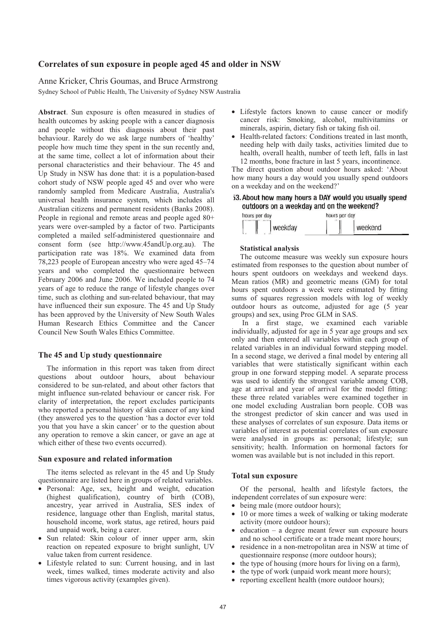# Correlates of sun exposure in people aged 45 and older in NSW

# Anne Kricker, Chris Goumas, and Bruce Armstrong

Sydney School of Public Health, The University of Sydney NSW Australia

Abstract. Sun exposure is often measured in studies of health outcomes by asking people with a cancer diagnosis and people without this diagnosis about their past behaviour. Rarely do we ask large numbers of 'healthy' people how much time they spent in the sun recently and, at the same time, collect a lot of information about their personal characteristics and their behaviour. The 45 and Up Study in NSW has done that: it is a population-based cohort study of NSW people aged 45 and over who were randomly sampled from Medicare Australia, Australia's universal health insurance system, which includes all Australian citizens and permanent residents (Banks 2008). People in regional and remote areas and people aged  $80+$ years were over-sampled by a factor of two. Participants completed a mailed self-administered questionnaire and consent form (see http://www.45andUp.org.au). The participation rate was 18%. We examined data from 78,223 people of European ancestry who were aged 45–74 years and who completed the questionnaire between February 2006 and June 2006. We included people to 74 years of age to reduce the range of lifestyle changes over time, such as clothing and sun-related behaviour, that may have influenced their sun exposure. The 45 and Up Study has been approved by the University of New South Wales Human Research Ethics Committee and the Cancer Council New South Wales Ethics Committee.

# The 45 and Up study questionnaire

The information in this report was taken from direct questions about outdoor hours, about behaviour considered to be sun-related, and about other factors that might influence sun-related behaviour or cancer risk. For clarity of interpretation, the report excludes participants who reported a personal history of skin cancer of any kind (they answered yes to the question 'has a doctor ever told you that you have a skin cancer' or to the question about any operation to remove a skin cancer, or gave an age at which either of these two events occurred).

#### Sun exposure and related information

The items selected as relevant in the 45 and Up Study questionnaire are listed here in groups of related variables.

- · Personal: Age, sex, height and weight, education (highest qualification), country of birth (COB), ancestry, year arrived in Australia, SES index of residence, language other than English, marital status, household income, work status, age retired, hours paid and unpaid work, being a carer.
- Sun related: Skin colour of inner upper arm, skin reaction on repeated exposure to bright sunlight, UV value taken from current residence.
- Lifestyle related to sun: Current housing, and in last week, times walked, times moderate activity and also times vigorous activity (examples given).
- Lifestyle factors known to cause cancer or modify cancer risk: Smoking, alcohol, multivitamins or minerals, aspirin, dietary fish or taking fish oil.
- Health-related factors: Conditions treated in last month, needing help with daily tasks, activities limited due to health, overall health, number of teeth left, falls in last 12 months, bone fracture in last 5 years, incontinence.

The direct question about outdoor hours asked: 'About how many hours a day would you usually spend outdoors on a weekday and on the weekend?'

53. About how many hours a DAY would you usually spend outdoors on a weekday and on the weekend?

| hours per day |         | hours per day     |  |
|---------------|---------|-------------------|--|
|               | weekday | $\sim$<br>weekend |  |

#### **Statistical analysis**

The outcome measure was weekly sun exposure hours estimated from responses to the question about number of hours spent outdoors on weekdays and weekend days. Mean ratios (MR) and geometric means (GM) for total hours spent outdoors a week were estimated by fitting sums of squares regression models with log of weekly outdoor hours as outcome, adjusted for age (5 year groups) and sex, using Proc GLM in SAS.

In a first stage, we examined each variable individually, adjusted for age in 5 year age groups and sex only and then entered all variables within each group of related variables in an individual forward stepping model. In a second stage, we derived a final model by entering all variables that were statistically significant within each group in one forward stepping model. A separate process was used to identify the strongest variable among COB, age at arrival and year of arrival for the model fitting: these three related variables were examined together in one model excluding Australian born people. COB was the strongest predictor of skin cancer and was used in these analyses of correlates of sun exposure. Data items or variables of interest as potential correlates of sun exposure were analysed in groups as: personal; lifestyle; sun sensitivity; health. Information on hormonal factors for women was available but is not included in this report.

## **Total sun exposure**

Of the personal, health and lifestyle factors, the independent correlates of sun exposure were:

- being male (more outdoor hours);
- 10 or more times a week of walking or taking moderate activity (more outdoor hours);
- education  $-$  a degree meant fewer sun exposure hours  $\bullet$ and no school certificate or a trade meant more hours:
- residence in a non-metropolitan area in NSW at time of questionnaire response (more outdoor hours):
- the type of housing (more hours for living on a farm),
- the type of work (unpaid work meant more hours);
- reporting excellent health (more outdoor hours);